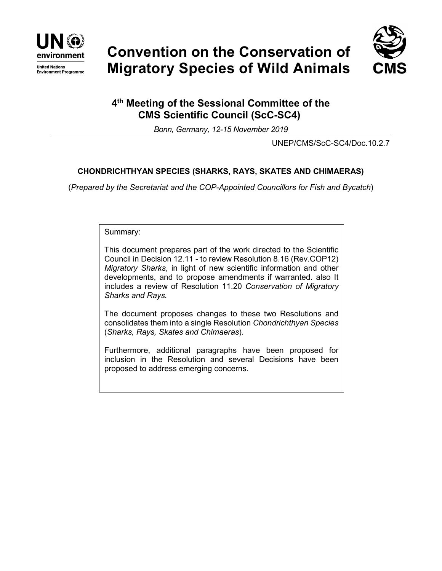

**United Nations Environment Programme** 





# **4th Meeting of the Sessional Committee of the CMS Scientific Council (ScC-SC4)**

*Bonn, Germany, 12-15 November 2019*

UNEP/CMS/ScC-SC4/Doc.10.2.7

# **CHONDRICHTHYAN SPECIES (SHARKS, RAYS, SKATES AND CHIMAERAS)**

(*Prepared by the Secretariat and the COP-Appointed Councillors for Fish and Bycatch*)

Summary:

This document prepares part of the work directed to the Scientific Council in Decision 12.11 - to review Resolution 8.16 (Rev.COP12) *Migratory Sharks*, in light of new scientific information and other developments, and to propose amendments if warranted. also It includes a review of Resolution 11.20 *Conservation of Migratory Sharks and Rays.*

The document proposes changes to these two Resolutions and consolidates them into a single Resolution *Chondrichthyan Species*  (*Sharks, Rays, Skates and Chimaeras*)*.*

Furthermore, additional paragraphs have been proposed for inclusion in the Resolution and several Decisions have been proposed to address emerging concerns.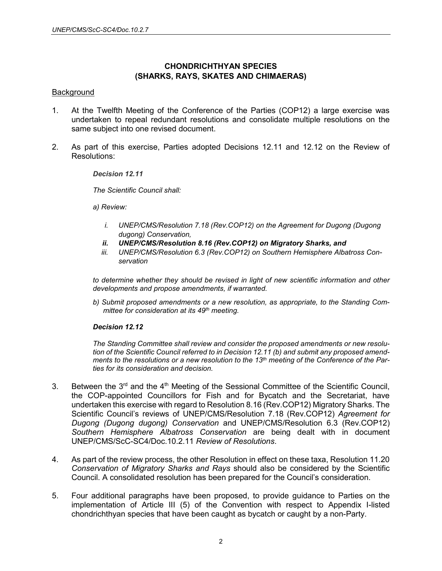# **CHONDRICHTHYAN SPECIES (SHARKS, RAYS, SKATES AND CHIMAERAS)**

#### **Background**

- 1. At the Twelfth Meeting of the Conference of the Parties (COP12) a large exercise was undertaken to repeal redundant resolutions and consolidate multiple resolutions on the same subject into one revised document.
- 2. As part of this exercise, Parties adopted Decisions 12.11 and 12.12 on the Review of Resolutions:

#### *Decision 12.11*

*The Scientific Council shall:*

*a) Review:*

- *i.* UNEP/CMS/Resolution 7.18 (Rev.COP12) on the Agreement for Dugong (Dugong *dugong) Conservation,*
- *ii. UNEP/CMS/Resolution 8.16 (Rev.COP12) on Migratory Sharks, and*
- *iii. UNEP/CMS/Resolution 6.3 (Rev.COP12) on Southern Hemisphere Albatross Conservation*

*to determine whether they should be revised in light of new scientific information and other developments and propose amendments, if warranted.*

*b) Submit proposed amendments or a new resolution, as appropriate, to the Standing Committee for consideration at its 49th meeting.*

#### *Decision 12.12*

*The Standing Committee shall review and consider the proposed amendments or new resolution of the Scientific Council referred to in Decision 12.11 (b) and submit any proposed amendments to the resolutions or a new resolution to the 13th meeting of the Conference of the Parties for its consideration and decision.*

- 3. Between the 3<sup>rd</sup> and the 4<sup>th</sup> Meeting of the Sessional Committee of the Scientific Council, the COP-appointed Councillors for Fish and for Bycatch and the Secretariat, have undertaken this exercise with regard to Resolution 8.16 (Rev.COP12) Migratory Sharks. The Scientific Council's reviews of UNEP/CMS/Resolution 7.18 (Rev.COP12) *Agreement for Dugong (Dugong dugong) Conservation* and UNEP/CMS/Resolution 6.3 (Rev.COP12) *Southern Hemisphere Albatross Conservation* are being dealt with in document UNEP/CMS/ScC-SC4/Doc.10.2.11 *Review of Resolutions*.
- 4. As part of the review process, the other Resolution in effect on these taxa, Resolution 11.20 *Conservation of Migratory Sharks and Rays* should also be considered by the Scientific Council. A consolidated resolution has been prepared for the Council's consideration.
- 5. Four additional paragraphs have been proposed, to provide guidance to Parties on the implementation of Article III (5) of the Convention with respect to Appendix I-listed chondrichthyan species that have been caught as bycatch or caught by a non-Party.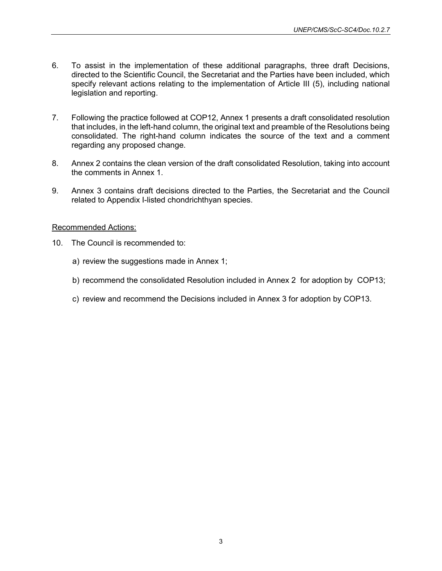- 6. To assist in the implementation of these additional paragraphs, three draft Decisions, directed to the Scientific Council, the Secretariat and the Parties have been included, which specify relevant actions relating to the implementation of Article III (5), including national legislation and reporting.
- 7. Following the practice followed at COP12, Annex 1 presents a draft consolidated resolution that includes, in the left-hand column, the original text and preamble of the Resolutions being consolidated. The right-hand column indicates the source of the text and a comment regarding any proposed change.
- 8. Annex 2 contains the clean version of the draft consolidated Resolution, taking into account the comments in Annex 1.
- 9. Annex 3 contains draft decisions directed to the Parties, the Secretariat and the Council related to Appendix I-listed chondrichthyan species.

#### Recommended Actions:

- 10. The Council is recommended to:
	- a) review the suggestions made in Annex 1;
	- b) recommend the consolidated Resolution included in Annex 2 for adoption by COP13;
	- c) review and recommend the Decisions included in Annex 3 for adoption by COP13.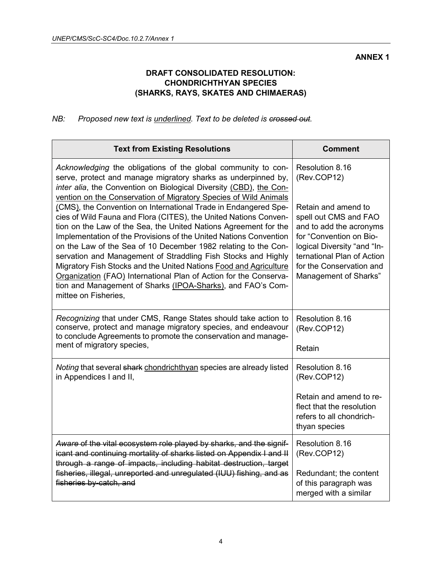# **DRAFT CONSOLIDATED RESOLUTION: CHONDRICHTHYAN SPECIES (SHARKS, RAYS, SKATES AND CHIMAERAS)**

# *NB: Proposed new text is underlined. Text to be deleted is crossed out.*

| <b>Text from Existing Resolutions</b>                                                                                                                                                                                                                                                                                                                                                                                                                                                                                                                                                                                                                                                                                                                                                                                                                                                                                        | <b>Comment</b>                                                                                                                                                                                                                                         |
|------------------------------------------------------------------------------------------------------------------------------------------------------------------------------------------------------------------------------------------------------------------------------------------------------------------------------------------------------------------------------------------------------------------------------------------------------------------------------------------------------------------------------------------------------------------------------------------------------------------------------------------------------------------------------------------------------------------------------------------------------------------------------------------------------------------------------------------------------------------------------------------------------------------------------|--------------------------------------------------------------------------------------------------------------------------------------------------------------------------------------------------------------------------------------------------------|
| Acknowledging the obligations of the global community to con-<br>serve, protect and manage migratory sharks as underpinned by,<br>inter alia, the Convention on Biological Diversity (CBD), the Con-<br>vention on the Conservation of Migratory Species of Wild Animals<br>(CMS), the Convention on International Trade in Endangered Spe-<br>cies of Wild Fauna and Flora (CITES), the United Nations Conven-<br>tion on the Law of the Sea, the United Nations Agreement for the<br>Implementation of the Provisions of the United Nations Convention<br>on the Law of the Sea of 10 December 1982 relating to the Con-<br>servation and Management of Straddling Fish Stocks and Highly<br>Migratory Fish Stocks and the United Nations Food and Agriculture<br>Organization (FAO) International Plan of Action for the Conserva-<br>tion and Management of Sharks (IPOA-Sharks), and FAO's Com-<br>mittee on Fisheries, | Resolution 8.16<br>(Rev.COP12)<br>Retain and amend to<br>spell out CMS and FAO<br>and to add the acronyms<br>for "Convention on Bio-<br>logical Diversity "and "In-<br>ternational Plan of Action<br>for the Conservation and<br>Management of Sharks" |
| Recognizing that under CMS, Range States should take action to<br>conserve, protect and manage migratory species, and endeavour<br>to conclude Agreements to promote the conservation and manage-<br>ment of migratory species,                                                                                                                                                                                                                                                                                                                                                                                                                                                                                                                                                                                                                                                                                              | Resolution 8.16<br>(Rev.COP12)<br>Retain                                                                                                                                                                                                               |
| Noting that several shark chondrichthyan species are already listed<br>in Appendices I and II,                                                                                                                                                                                                                                                                                                                                                                                                                                                                                                                                                                                                                                                                                                                                                                                                                               | Resolution 8.16<br>(Rev.COP12)<br>Retain and amend to re-<br>flect that the resolution<br>refers to all chondrich-<br>thyan species                                                                                                                    |
| Aware of the vital ecosystem role played by sharks, and the signif-<br>icant and continuing mortality of sharks listed on Appendix I and II<br>through a range of impacts, including habitat destruction, target<br>fisheries, illegal, unreported and unregulated (IUU) fishing, and as<br>fisheries by-catch, and                                                                                                                                                                                                                                                                                                                                                                                                                                                                                                                                                                                                          | Resolution 8.16<br>(Rev.COP12)<br>Redundant; the content<br>of this paragraph was<br>merged with a similar                                                                                                                                             |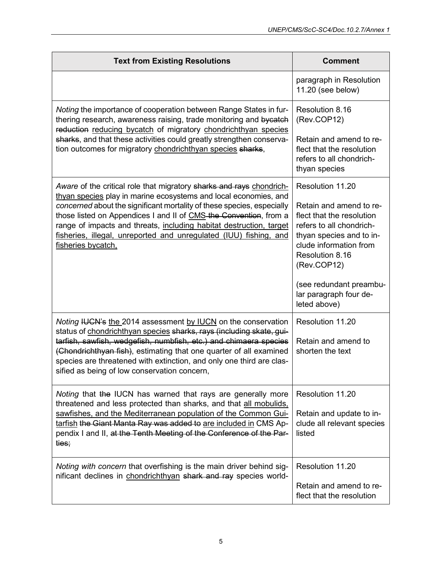| <b>Text from Existing Resolutions</b>                                                                                                                                                                                                                                                                                                                                                                                                                     | <b>Comment</b>                                                                                                                                                           |
|-----------------------------------------------------------------------------------------------------------------------------------------------------------------------------------------------------------------------------------------------------------------------------------------------------------------------------------------------------------------------------------------------------------------------------------------------------------|--------------------------------------------------------------------------------------------------------------------------------------------------------------------------|
|                                                                                                                                                                                                                                                                                                                                                                                                                                                           | paragraph in Resolution<br>11.20 (see below)                                                                                                                             |
| Noting the importance of cooperation between Range States in fur-<br>thering research, awareness raising, trade monitoring and bycatch<br>reduction reducing bycatch of migratory chondrichthyan species<br>sharks, and that these activities could greatly strengthen conserva-<br>tion outcomes for migratory chondrichthyan species sharks,                                                                                                            | Resolution 8.16<br>(Rev.COP12)                                                                                                                                           |
|                                                                                                                                                                                                                                                                                                                                                                                                                                                           | Retain and amend to re-<br>flect that the resolution<br>refers to all chondrich-<br>thyan species                                                                        |
| Aware of the critical role that migratory sharks and rays chondrich-<br>thyan species play in marine ecosystems and local economies, and<br>concerned about the significant mortality of these species, especially<br>those listed on Appendices I and II of CMS-the Convention, from a<br>range of impacts and threats, including habitat destruction, target<br>fisheries, illegal, unreported and unregulated (IUU) fishing, and<br>fisheries bycatch, | Resolution 11.20                                                                                                                                                         |
|                                                                                                                                                                                                                                                                                                                                                                                                                                                           | Retain and amend to re-<br>flect that the resolution<br>refers to all chondrich-<br>thyan species and to in-<br>clude information from<br>Resolution 8.16<br>(Rev.COP12) |
|                                                                                                                                                                                                                                                                                                                                                                                                                                                           | (see redundant preambu-<br>lar paragraph four de-<br>leted above)                                                                                                        |
| Noting IUCN's the 2014 assessment by IUCN on the conservation<br>status of chondrichthyan species sharks, rays (including skate, gui-                                                                                                                                                                                                                                                                                                                     | Resolution 11.20                                                                                                                                                         |
| tarfish, sawfish, wedgefish, numbfish, etc.) and chimaera species<br>(Chondrichthyan fish), estimating that one quarter of all examined<br>species are threatened with extinction, and only one third are clas-<br>sified as being of low conservation concern,                                                                                                                                                                                           | Retain and amend to<br>shorten the text                                                                                                                                  |
| Noting that the IUCN has warned that rays are generally more<br>threatened and less protected than sharks, and that all mobulids.<br>sawfishes, and the Mediterranean population of the Common Gui-<br>tarfish the Giant Manta Ray was added to are included in CMS Ap-<br>pendix I and II, at the Tenth Meeting of the Conference of the Par-<br>ties;                                                                                                   | Resolution 11.20                                                                                                                                                         |
|                                                                                                                                                                                                                                                                                                                                                                                                                                                           | Retain and update to in-<br>clude all relevant species<br>listed                                                                                                         |
| Noting with concern that overfishing is the main driver behind sig-<br>nificant declines in chondrichthyan shark and ray species world-                                                                                                                                                                                                                                                                                                                   | Resolution 11.20                                                                                                                                                         |
|                                                                                                                                                                                                                                                                                                                                                                                                                                                           | Retain and amend to re-<br>flect that the resolution                                                                                                                     |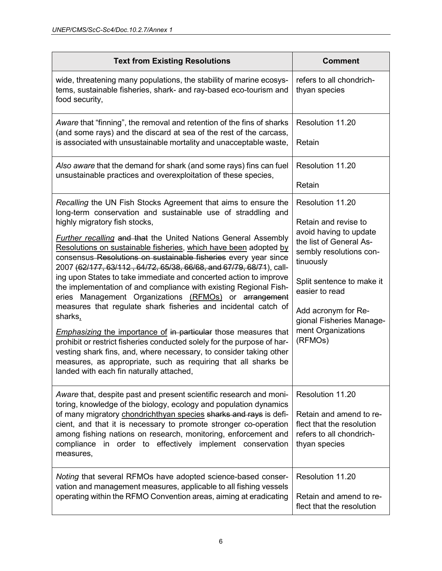| <b>Text from Existing Resolutions</b>                                                                                                                                                                                                                                                                                                                                                                                                                                                                                                                                                                                                                                                                                                                                                                                                                                                                                                                                                                                                                                           | <b>Comment</b>                                                                                                                                                                                                                                                           |
|---------------------------------------------------------------------------------------------------------------------------------------------------------------------------------------------------------------------------------------------------------------------------------------------------------------------------------------------------------------------------------------------------------------------------------------------------------------------------------------------------------------------------------------------------------------------------------------------------------------------------------------------------------------------------------------------------------------------------------------------------------------------------------------------------------------------------------------------------------------------------------------------------------------------------------------------------------------------------------------------------------------------------------------------------------------------------------|--------------------------------------------------------------------------------------------------------------------------------------------------------------------------------------------------------------------------------------------------------------------------|
| wide, threatening many populations, the stability of marine ecosys-<br>tems, sustainable fisheries, shark- and ray-based eco-tourism and<br>food security,                                                                                                                                                                                                                                                                                                                                                                                                                                                                                                                                                                                                                                                                                                                                                                                                                                                                                                                      | refers to all chondrich-<br>thyan species                                                                                                                                                                                                                                |
| Aware that "finning", the removal and retention of the fins of sharks<br>(and some rays) and the discard at sea of the rest of the carcass,<br>is associated with unsustainable mortality and unacceptable waste,                                                                                                                                                                                                                                                                                                                                                                                                                                                                                                                                                                                                                                                                                                                                                                                                                                                               | Resolution 11.20<br>Retain                                                                                                                                                                                                                                               |
| Also aware that the demand for shark (and some rays) fins can fuel<br>unsustainable practices and overexploitation of these species,                                                                                                                                                                                                                                                                                                                                                                                                                                                                                                                                                                                                                                                                                                                                                                                                                                                                                                                                            | Resolution 11.20<br>Retain                                                                                                                                                                                                                                               |
| Recalling the UN Fish Stocks Agreement that aims to ensure the<br>long-term conservation and sustainable use of straddling and<br>highly migratory fish stocks,<br><b>Further recalling and that the United Nations General Assembly</b><br>Resolutions on sustainable fisheries, which have been adopted by<br>consensus Resolutions on sustainable fisheries every year since<br>2007 (62/177, 63/112, 64/72, 65/38, 66/68, and 67/79, 68/71), call-<br>ing upon States to take immediate and concerted action to improve<br>the implementation of and compliance with existing Regional Fish-<br>eries Management Organizations (RFMOs) or arrangement<br>measures that regulate shark fisheries and incidental catch of<br>sharks,<br><b>Emphasizing the importance of in particular those measures that</b><br>prohibit or restrict fisheries conducted solely for the purpose of har-<br>vesting shark fins, and, where necessary, to consider taking other<br>measures, as appropriate, such as requiring that all sharks be<br>landed with each fin naturally attached, | Resolution 11.20<br>Retain and revise to<br>avoid having to update<br>the list of General As-<br>sembly resolutions con-<br>tinuously<br>Split sentence to make it<br>easier to read<br>Add acronym for Re-<br>gional Fisheries Manage-<br>ment Organizations<br>(RFMOs) |
| Aware that, despite past and present scientific research and moni-<br>toring, knowledge of the biology, ecology and population dynamics<br>of many migratory chondrichthyan species sharks and rays is defi-<br>cient, and that it is necessary to promote stronger co-operation<br>among fishing nations on research, monitoring, enforcement and<br>compliance in order to effectively implement conservation<br>measures,                                                                                                                                                                                                                                                                                                                                                                                                                                                                                                                                                                                                                                                    | Resolution 11.20<br>Retain and amend to re-<br>flect that the resolution<br>refers to all chondrich-<br>thyan species                                                                                                                                                    |
| Noting that several RFMOs have adopted science-based conser-<br>vation and management measures, applicable to all fishing vessels<br>operating within the RFMO Convention areas, aiming at eradicating                                                                                                                                                                                                                                                                                                                                                                                                                                                                                                                                                                                                                                                                                                                                                                                                                                                                          | Resolution 11.20<br>Retain and amend to re-<br>flect that the resolution                                                                                                                                                                                                 |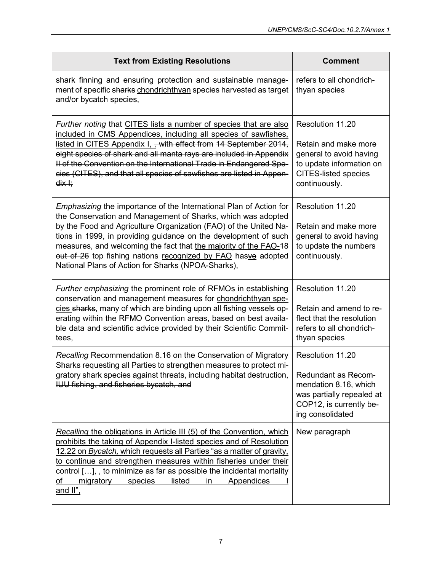| <b>Text from Existing Resolutions</b>                                                                                                                                                                                                                                                                                                                                                                                                                                       | <b>Comment</b>                                                                                                                                  |
|-----------------------------------------------------------------------------------------------------------------------------------------------------------------------------------------------------------------------------------------------------------------------------------------------------------------------------------------------------------------------------------------------------------------------------------------------------------------------------|-------------------------------------------------------------------------------------------------------------------------------------------------|
| shark finning and ensuring protection and sustainable manage-<br>ment of specific sharks chondrichthyan species harvested as target<br>and/or bycatch species,                                                                                                                                                                                                                                                                                                              | refers to all chondrich-<br>thyan species                                                                                                       |
| Further noting that CITES lists a number of species that are also<br>included in CMS Appendices, including all species of sawfishes.<br>listed in CITES Appendix I, - with effect from 14 September 2014,<br>eight species of shark and all manta rays are included in Appendix<br>Il of the Convention on the International Trade in Endangered Spe-<br>cies (CITES), and that all species of sawfishes are listed in Appen-<br><del>dix I;</del>                          | Resolution 11.20<br>Retain and make more<br>general to avoid having<br>to update information on<br><b>CITES-listed species</b><br>continuously. |
| Emphasizing the importance of the International Plan of Action for<br>the Conservation and Management of Sharks, which was adopted<br>by the Food and Agriculture Organization (FAO) of the United Na-<br>tions in 1999, in providing guidance on the development of such<br>measures, and welcoming the fact that the majority of the <b>FAO-18</b><br>out of 26 top fishing nations recognized by FAO hasve adopted<br>National Plans of Action for Sharks (NPOA-Sharks), | Resolution 11.20<br>Retain and make more<br>general to avoid having<br>to update the numbers<br>continuously.                                   |
| Further emphasizing the prominent role of RFMOs in establishing<br>conservation and management measures for chondrichthyan spe-<br>cies sharks, many of which are binding upon all fishing vessels op-<br>erating within the RFMO Convention areas, based on best availa-<br>ble data and scientific advice provided by their Scientific Commit-<br>tees,                                                                                                                   | Resolution 11.20<br>Retain and amend to re-<br>flect that the resolution<br>refers to all chondrich-<br>thyan species                           |
| Recalling Recommendation 8.16 on the Conservation of Migratory<br>Sharks requesting all Parties to strengthen measures to protect mi-<br>gratory shark species against threats, including habitat destruction,<br>IUU fishing, and fisheries bycatch, and                                                                                                                                                                                                                   | Resolution 11.20<br>Redundant as Recom-<br>mendation 8.16, which<br>was partially repealed at<br>COP12, is currently be-<br>ing consolidated    |
| Recalling the obligations in Article III (5) of the Convention, which<br>prohibits the taking of Appendix I-listed species and of Resolution<br>12.22 on Bycatch, which requests all Parties "as a matter of gravity,<br>to continue and strengthen measures within fisheries under their<br>control [], to minimize as far as possible the incidental mortality<br>оf<br>migratory<br>species<br>listed<br><b>Appendices</b><br>in<br>and II".                             | New paragraph                                                                                                                                   |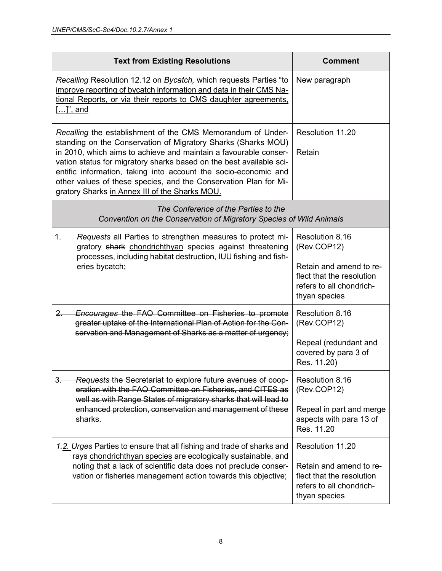| <b>Text from Existing Resolutions</b>                                                                                                                                                                                                                                                                                                                                                                                                                            | <b>Comment</b>                                                                                    |
|------------------------------------------------------------------------------------------------------------------------------------------------------------------------------------------------------------------------------------------------------------------------------------------------------------------------------------------------------------------------------------------------------------------------------------------------------------------|---------------------------------------------------------------------------------------------------|
| Recalling Resolution 12.12 on Bycatch, which requests Parties "to<br>improve reporting of bycatch information and data in their CMS Na-<br>tional Reports, or via their reports to CMS daughter agreements,<br><u>[]", and</u>                                                                                                                                                                                                                                   | New paragraph                                                                                     |
| Recalling the establishment of the CMS Memorandum of Under-<br>standing on the Conservation of Migratory Sharks (Sharks MOU)<br>in 2010, which aims to achieve and maintain a favourable conser-<br>vation status for migratory sharks based on the best available sci-<br>entific information, taking into account the socio-economic and<br>other values of these species, and the Conservation Plan for Mi-<br>gratory Sharks in Annex III of the Sharks MOU. | Resolution 11.20<br>Retain                                                                        |
| The Conference of the Parties to the<br>Convention on the Conservation of Migratory Species of Wild Animals                                                                                                                                                                                                                                                                                                                                                      |                                                                                                   |
| 1.<br>Requests all Parties to strengthen measures to protect mi-<br>gratory shark chondrichthyan species against threatening<br>processes, including habitat destruction, IUU fishing and fish-<br>eries bycatch;                                                                                                                                                                                                                                                | Resolution 8.16<br>(Rev.COP12)                                                                    |
|                                                                                                                                                                                                                                                                                                                                                                                                                                                                  | Retain and amend to re-<br>flect that the resolution<br>refers to all chondrich-<br>thyan species |
| <b>Encourages the FAO Committee on Fisheries to promote</b><br><u>2. </u><br>greater uptake of the International Plan of Action for the Con-<br>servation and Management of Sharks as a matter of urgency;                                                                                                                                                                                                                                                       | Resolution 8.16<br>(Rev.COP12)                                                                    |
|                                                                                                                                                                                                                                                                                                                                                                                                                                                                  | Repeal (redundant and<br>covered by para 3 of<br>Res. 11.20)                                      |
| Requests the Secretariat to explore future avenues of coop-<br>$\frac{3}{2}$<br>eration with the FAO Committee on Fisheries, and CITES as<br>well as with Range States of migratory sharks that will lead to<br>enhanced protection, conservation and management of these<br>sharks.                                                                                                                                                                             | Resolution 8.16<br>(Rev.COP12)                                                                    |
|                                                                                                                                                                                                                                                                                                                                                                                                                                                                  | Repeal in part and merge<br>aspects with para 13 of<br>Res. 11.20                                 |
| 4.2. Urges Parties to ensure that all fishing and trade of sharks and<br>rays chondrichthyan species are ecologically sustainable, and<br>noting that a lack of scientific data does not preclude conser-<br>vation or fisheries management action towards this objective;                                                                                                                                                                                       | Resolution 11.20                                                                                  |
|                                                                                                                                                                                                                                                                                                                                                                                                                                                                  | Retain and amend to re-<br>flect that the resolution<br>refers to all chondrich-<br>thyan species |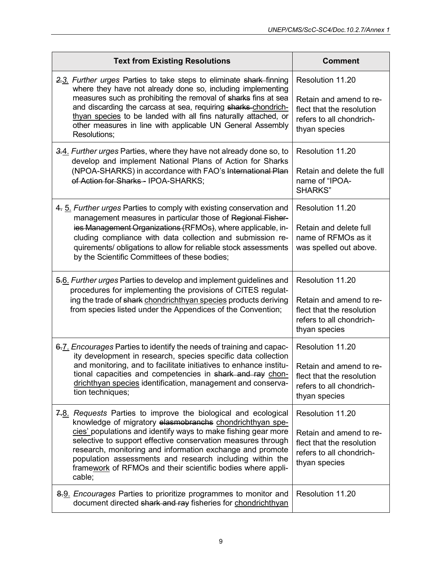| <b>Text from Existing Resolutions</b>                                                                                                                                                                                                                                                                                                                                                                                   | <b>Comment</b>                                                                                    |
|-------------------------------------------------------------------------------------------------------------------------------------------------------------------------------------------------------------------------------------------------------------------------------------------------------------------------------------------------------------------------------------------------------------------------|---------------------------------------------------------------------------------------------------|
| 2.3. Further urges Parties to take steps to eliminate shark finning<br>where they have not already done so, including implementing<br>measures such as prohibiting the removal of sharks fins at sea<br>and discarding the carcass at sea, requiring sharks chondrich-<br>thyan species to be landed with all fins naturally attached, or<br>other measures in line with applicable UN General Assembly<br>Resolutions; | Resolution 11.20<br>Retain and amend to re-                                                       |
|                                                                                                                                                                                                                                                                                                                                                                                                                         | flect that the resolution<br>refers to all chondrich-<br>thyan species                            |
| 3.4. Further urges Parties, where they have not already done so, to<br>develop and implement National Plans of Action for Sharks<br>(NPOA-SHARKS) in accordance with FAO's International Plan<br>of Action for Sharks-IPOA-SHARKS;                                                                                                                                                                                      | Resolution 11.20                                                                                  |
|                                                                                                                                                                                                                                                                                                                                                                                                                         | Retain and delete the full<br>name of "IPOA-<br>SHARKS"                                           |
| 4. 5. Further urges Parties to comply with existing conservation and<br>management measures in particular those of Regional Fisher-                                                                                                                                                                                                                                                                                     | Resolution 11.20                                                                                  |
| ies Management Organizations (RFMOs), where applicable, in-<br>cluding compliance with data collection and submission re-<br>quirements/ obligations to allow for reliable stock assessments<br>by the Scientific Committees of these bodies;                                                                                                                                                                           | Retain and delete full<br>name of RFMOs as it<br>was spelled out above.                           |
| 5.6. Further urges Parties to develop and implement guidelines and<br>procedures for implementing the provisions of CITES regulat-<br>ing the trade of shark chondrichthyan species products deriving<br>from species listed under the Appendices of the Convention;                                                                                                                                                    | Resolution 11.20                                                                                  |
|                                                                                                                                                                                                                                                                                                                                                                                                                         | Retain and amend to re-<br>flect that the resolution<br>refers to all chondrich-<br>thyan species |
| 6.7. Encourages Parties to identify the needs of training and capac-<br>ity development in research, species specific data collection<br>and monitoring, and to facilitate initiatives to enhance institu-<br>tional capacities and competencies in shark and ray chon-<br>drichthyan species identification, management and conserva-<br>tion techniques;                                                              | Resolution 11.20                                                                                  |
|                                                                                                                                                                                                                                                                                                                                                                                                                         | Retain and amend to re-<br>flect that the resolution<br>refers to all chondrich-<br>thyan species |
| 7.8. Requests Parties to improve the biological and ecological<br>knowledge of migratory elasmobranchs chondrichthyan spe-                                                                                                                                                                                                                                                                                              | Resolution 11.20                                                                                  |
| cies' populations and identify ways to make fishing gear more<br>selective to support effective conservation measures through<br>research, monitoring and information exchange and promote<br>population assessments and research including within the<br>framework of RFMOs and their scientific bodies where appli-<br>cable;                                                                                         | Retain and amend to re-<br>flect that the resolution<br>refers to all chondrich-<br>thyan species |
| 8.9. <i>Encourages</i> Parties to prioritize programmes to monitor and<br>document directed shark and ray fisheries for chondrichthyan                                                                                                                                                                                                                                                                                  | Resolution 11.20                                                                                  |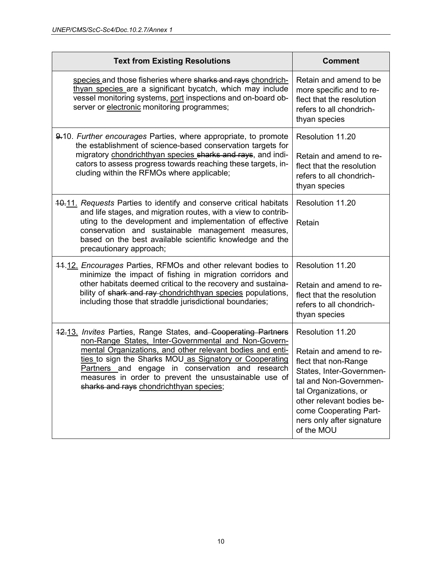| <b>Text from Existing Resolutions</b>                                                                                                                                                                                                                                                                                                                                                                  | <b>Comment</b>                                                                                                                                                                                                                                       |
|--------------------------------------------------------------------------------------------------------------------------------------------------------------------------------------------------------------------------------------------------------------------------------------------------------------------------------------------------------------------------------------------------------|------------------------------------------------------------------------------------------------------------------------------------------------------------------------------------------------------------------------------------------------------|
| species and those fisheries where sharks and rays chondrich-<br>thyan species are a significant bycatch, which may include<br>vessel monitoring systems, port inspections and on-board ob-<br>server or electronic monitoring programmes;                                                                                                                                                              | Retain and amend to be<br>more specific and to re-<br>flect that the resolution<br>refers to all chondrich-<br>thyan species                                                                                                                         |
| 9.10. Further encourages Parties, where appropriate, to promote<br>the establishment of science-based conservation targets for<br>migratory chondrichthyan species sharks and rays, and indi-<br>cators to assess progress towards reaching these targets, in-<br>cluding within the RFMOs where applicable;                                                                                           | Resolution 11.20<br>Retain and amend to re-<br>flect that the resolution<br>refers to all chondrich-<br>thyan species                                                                                                                                |
| 10.11. Requests Parties to identify and conserve critical habitats<br>and life stages, and migration routes, with a view to contrib-<br>uting to the development and implementation of effective<br>conservation and sustainable management measures,<br>based on the best available scientific knowledge and the<br>precautionary approach;                                                           | Resolution 11.20<br>Retain                                                                                                                                                                                                                           |
| 44.12. Encourages Parties, RFMOs and other relevant bodies to<br>minimize the impact of fishing in migration corridors and<br>other habitats deemed critical to the recovery and sustaina-<br>bility of shark and ray-chondrichthyan species populations,<br>including those that straddle jurisdictional boundaries;                                                                                  | Resolution 11.20<br>Retain and amend to re-<br>flect that the resolution<br>refers to all chondrich-<br>thyan species                                                                                                                                |
| 12.13. Invites Parties, Range States, and Cooperating Partners<br>non-Range States, Inter-Governmental and Non-Govern-<br>mental Organizations, and other relevant bodies and enti-<br>ties to sign the Sharks MOU as Signatory or Cooperating<br>Partners and engage in conservation and research<br>measures in order to prevent the unsustainable use of<br>sharks and rays chondrichthyan species; | Resolution 11.20<br>Retain and amend to re-<br>flect that non-Range<br>States, Inter-Governmen-<br>tal and Non-Governmen-<br>tal Organizations, or<br>other relevant bodies be-<br>come Cooperating Part-<br>ners only after signature<br>of the MOU |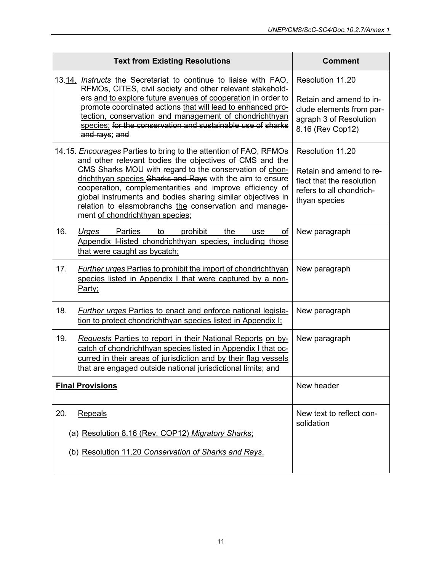|     | <b>Text from Existing Resolutions</b>                                                                                                                                                                                                                                                                                                                                                                                                                                        | <b>Comment</b>                                                                                                        |
|-----|------------------------------------------------------------------------------------------------------------------------------------------------------------------------------------------------------------------------------------------------------------------------------------------------------------------------------------------------------------------------------------------------------------------------------------------------------------------------------|-----------------------------------------------------------------------------------------------------------------------|
|     | 13.14. <i>Instructs</i> the Secretariat to continue to liaise with FAO,<br>RFMOs, CITES, civil society and other relevant stakehold-<br>ers and to explore future avenues of cooperation in order to<br>promote coordinated actions that will lead to enhanced pro-<br>tection, conservation and management of chondrichthyan<br>species; for the conservation and sustainable use of sharks<br>and rays; and                                                                | Resolution 11.20<br>Retain and amend to in-<br>clude elements from par-<br>agraph 3 of Resolution<br>8.16 (Rev Cop12) |
|     | 14.15. Encourages Parties to bring to the attention of FAO, RFMOs<br>and other relevant bodies the objectives of CMS and the<br>CMS Sharks MOU with regard to the conservation of chon-<br>drichthyan species Sharks and Rays with the aim to ensure<br>cooperation, complementarities and improve efficiency of<br>global instruments and bodies sharing similar objectives in<br>relation to elasmobranchs the conservation and manage-<br>ment of chondrichthyan species; | Resolution 11.20<br>Retain and amend to re-<br>flect that the resolution<br>refers to all chondrich-<br>thyan species |
| 16. | Parties<br>Urges<br>to<br>prohibit<br>the<br>οf<br>use<br>Appendix I-listed chondrichthyan species, including those<br>that were caught as bycatch;                                                                                                                                                                                                                                                                                                                          | New paragraph                                                                                                         |
| 17. | <b>Further urges Parties to prohibit the import of chondrichthyan</b><br>species listed in Appendix I that were captured by a non-<br>Party;                                                                                                                                                                                                                                                                                                                                 | New paragraph                                                                                                         |
| 18. | <b>Further urges Parties to enact and enforce national legisla-</b><br>tion to protect chondrichthyan species listed in Appendix I;                                                                                                                                                                                                                                                                                                                                          | New paragraph                                                                                                         |
| 19. | Requests Parties to report in their National Reports on by-<br>catch of chondrichthyan species listed in Appendix I that oc-<br>curred in their areas of jurisdiction and by their flag vessels<br>that are engaged outside national jurisdictional limits; and                                                                                                                                                                                                              | New paragraph                                                                                                         |
|     | <b>Final Provisions</b>                                                                                                                                                                                                                                                                                                                                                                                                                                                      | New header                                                                                                            |
| 20. | Repeals<br>(a) Resolution 8.16 (Rev. COP12) Migratory Sharks;<br>(b) Resolution 11.20 Conservation of Sharks and Rays.                                                                                                                                                                                                                                                                                                                                                       | New text to reflect con-<br>solidation                                                                                |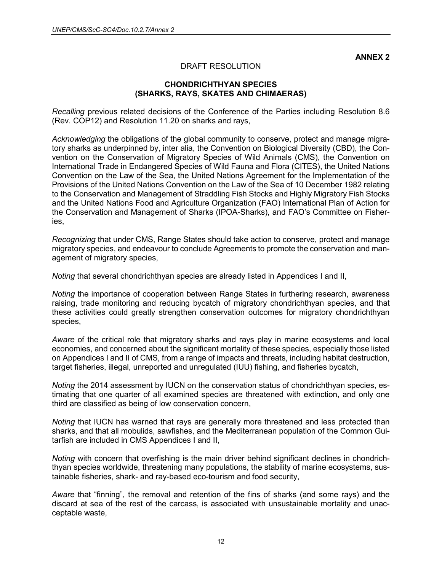**ANNEX 2**

#### DRAFT RESOLUTION

#### **CHONDRICHTHYAN SPECIES (SHARKS, RAYS, SKATES AND CHIMAERAS)**

*Recalling* previous related decisions of the Conference of the Parties including Resolution 8.6 (Rev. COP12) and Resolution 11.20 on sharks and rays,

*Acknowledging* the obligations of the global community to conserve, protect and manage migratory sharks as underpinned by, inter alia, the Convention on Biological Diversity (CBD), the Convention on the Conservation of Migratory Species of Wild Animals (CMS), the Convention on International Trade in Endangered Species of Wild Fauna and Flora (CITES), the United Nations Convention on the Law of the Sea, the United Nations Agreement for the Implementation of the Provisions of the United Nations Convention on the Law of the Sea of 10 December 1982 relating to the Conservation and Management of Straddling Fish Stocks and Highly Migratory Fish Stocks and the United Nations Food and Agriculture Organization (FAO) International Plan of Action for the Conservation and Management of Sharks (IPOA-Sharks), and FAO's Committee on Fisheries,

*Recognizing* that under CMS, Range States should take action to conserve, protect and manage migratory species, and endeavour to conclude Agreements to promote the conservation and management of migratory species,

*Noting* that several chondrichthyan species are already listed in Appendices I and II,

*Noting* the importance of cooperation between Range States in furthering research, awareness raising, trade monitoring and reducing bycatch of migratory chondrichthyan species, and that these activities could greatly strengthen conservation outcomes for migratory chondrichthyan species,

*Aware* of the critical role that migratory sharks and rays play in marine ecosystems and local economies, and concerned about the significant mortality of these species, especially those listed on Appendices I and II of CMS, from a range of impacts and threats, including habitat destruction, target fisheries, illegal, unreported and unregulated (IUU) fishing, and fisheries bycatch,

*Noting* the 2014 assessment by IUCN on the conservation status of chondrichthyan species, estimating that one quarter of all examined species are threatened with extinction, and only one third are classified as being of low conservation concern,

*Noting* that IUCN has warned that rays are generally more threatened and less protected than sharks, and that all mobulids, sawfishes, and the Mediterranean population of the Common Guitarfish are included in CMS Appendices I and II,

*Noting* with concern that overfishing is the main driver behind significant declines in chondrichthyan species worldwide, threatening many populations, the stability of marine ecosystems, sustainable fisheries, shark- and ray-based eco-tourism and food security,

*Aware* that "finning", the removal and retention of the fins of sharks (and some rays) and the discard at sea of the rest of the carcass, is associated with unsustainable mortality and unacceptable waste,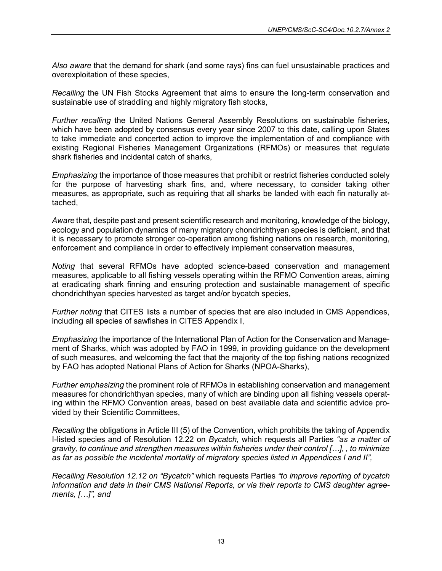*Also aware* that the demand for shark (and some rays) fins can fuel unsustainable practices and overexploitation of these species,

*Recalling* the UN Fish Stocks Agreement that aims to ensure the long-term conservation and sustainable use of straddling and highly migratory fish stocks,

*Further recalling* the United Nations General Assembly Resolutions on sustainable fisheries, which have been adopted by consensus every year since 2007 to this date, calling upon States to take immediate and concerted action to improve the implementation of and compliance with existing Regional Fisheries Management Organizations (RFMOs) or measures that regulate shark fisheries and incidental catch of sharks,

*Emphasizing* the importance of those measures that prohibit or restrict fisheries conducted solely for the purpose of harvesting shark fins, and, where necessary, to consider taking other measures, as appropriate, such as requiring that all sharks be landed with each fin naturally attached,

*Aware* that, despite past and present scientific research and monitoring, knowledge of the biology, ecology and population dynamics of many migratory chondrichthyan species is deficient, and that it is necessary to promote stronger co-operation among fishing nations on research, monitoring, enforcement and compliance in order to effectively implement conservation measures,

*Noting* that several RFMOs have adopted science-based conservation and management measures, applicable to all fishing vessels operating within the RFMO Convention areas, aiming at eradicating shark finning and ensuring protection and sustainable management of specific chondrichthyan species harvested as target and/or bycatch species,

*Further noting* that CITES lists a number of species that are also included in CMS Appendices, including all species of sawfishes in CITES Appendix I,

*Emphasizing* the importance of the International Plan of Action for the Conservation and Management of Sharks, which was adopted by FAO in 1999, in providing guidance on the development of such measures, and welcoming the fact that the majority of the top fishing nations recognized by FAO has adopted National Plans of Action for Sharks (NPOA-Sharks),

*Further emphasizing* the prominent role of RFMOs in establishing conservation and management measures for chondrichthyan species, many of which are binding upon all fishing vessels operating within the RFMO Convention areas, based on best available data and scientific advice provided by their Scientific Committees,

*Recalling* the obligations in Article III (5) of the Convention, which prohibits the taking of Appendix I-listed species and of Resolution 12.22 on *Bycatch,* which requests all Parties *"as a matter of gravity, to continue and strengthen measures within fisheries under their control […], , to minimize as far as possible the incidental mortality of migratory species listed in Appendices I and II",*

*Recalling Resolution 12.12 on "Bycatch"* which requests Parties *"to improve reporting of bycatch information and data in their CMS National Reports, or via their reports to CMS daughter agreements, […]", and*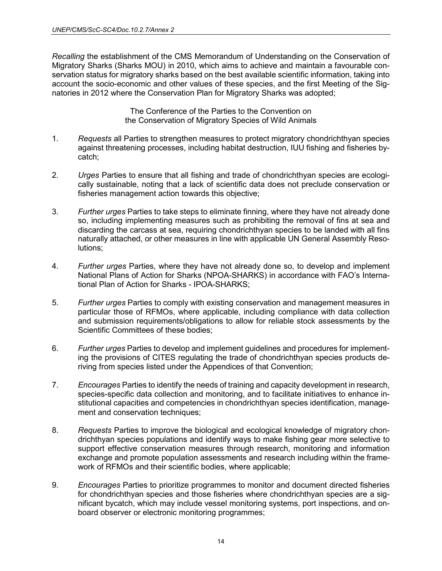*Recalling* the establishment of the CMS Memorandum of Understanding on the Conservation of Migratory Sharks (Sharks MOU) in 2010, which aims to achieve and maintain a favourable conservation status for migratory sharks based on the best available scientific information, taking into account the socio-economic and other values of these species, and the first Meeting of the Signatories in 2012 where the Conservation Plan for Migratory Sharks was adopted;

> The Conference of the Parties to the Convention on the Conservation of Migratory Species of Wild Animals

- 1. *Requests* all Parties to strengthen measures to protect migratory chondrichthyan species against threatening processes, including habitat destruction, IUU fishing and fisheries bycatch;
- 2. *Urges* Parties to ensure that all fishing and trade of chondrichthyan species are ecologically sustainable, noting that a lack of scientific data does not preclude conservation or fisheries management action towards this objective;
- 3. *Further urges* Parties to take steps to eliminate finning, where they have not already done so, including implementing measures such as prohibiting the removal of fins at sea and discarding the carcass at sea, requiring chondrichthyan species to be landed with all fins naturally attached, or other measures in line with applicable UN General Assembly Resolutions;
- 4. *Further urges* Parties, where they have not already done so, to develop and implement National Plans of Action for Sharks (NPOA-SHARKS) in accordance with FAO's International Plan of Action for Sharks - IPOA-SHARKS;
- 5. *Further urges* Parties to comply with existing conservation and management measures in particular those of RFMOs, where applicable, including compliance with data collection and submission requirements/obligations to allow for reliable stock assessments by the Scientific Committees of these bodies;
- 6. *Further urges* Parties to develop and implement guidelines and procedures for implementing the provisions of CITES regulating the trade of chondrichthyan species products deriving from species listed under the Appendices of that Convention;
- 7. *Encourages* Parties to identify the needs of training and capacity development in research, species-specific data collection and monitoring, and to facilitate initiatives to enhance institutional capacities and competencies in chondrichthyan species identification, management and conservation techniques;
- 8. *Requests* Parties to improve the biological and ecological knowledge of migratory chondrichthyan species populations and identify ways to make fishing gear more selective to support effective conservation measures through research, monitoring and information exchange and promote population assessments and research including within the framework of RFMOs and their scientific bodies, where applicable;
- 9. *Encourages* Parties to prioritize programmes to monitor and document directed fisheries for chondrichthyan species and those fisheries where chondrichthyan species are a significant bycatch, which may include vessel monitoring systems, port inspections, and onboard observer or electronic monitoring programmes;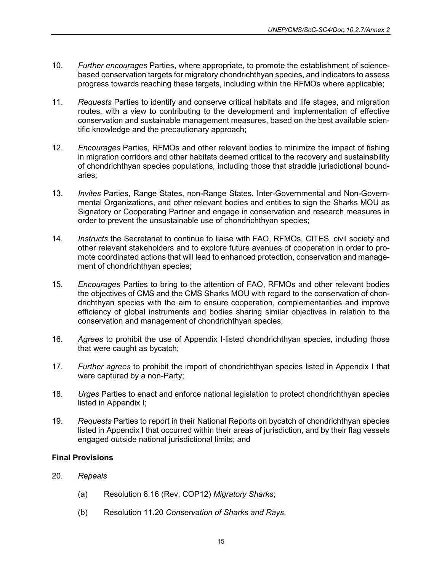- 10. *Further encourages* Parties, where appropriate, to promote the establishment of sciencebased conservation targets for migratory chondrichthyan species, and indicators to assess progress towards reaching these targets, including within the RFMOs where applicable;
- 11. *Requests* Parties to identify and conserve critical habitats and life stages, and migration routes, with a view to contributing to the development and implementation of effective conservation and sustainable management measures, based on the best available scientific knowledge and the precautionary approach;
- 12. *Encourages* Parties, RFMOs and other relevant bodies to minimize the impact of fishing in migration corridors and other habitats deemed critical to the recovery and sustainability of chondrichthyan species populations, including those that straddle jurisdictional boundaries;
- 13. *Invites* Parties, Range States, non-Range States, Inter-Governmental and Non-Governmental Organizations, and other relevant bodies and entities to sign the Sharks MOU as Signatory or Cooperating Partner and engage in conservation and research measures in order to prevent the unsustainable use of chondrichthyan species;
- 14. *Instructs* the Secretariat to continue to liaise with FAO, RFMOs, CITES, civil society and other relevant stakeholders and to explore future avenues of cooperation in order to promote coordinated actions that will lead to enhanced protection, conservation and management of chondrichthyan species;
- 15. *Encourages* Parties to bring to the attention of FAO, RFMOs and other relevant bodies the objectives of CMS and the CMS Sharks MOU with regard to the conservation of chondrichthyan species with the aim to ensure cooperation, complementarities and improve efficiency of global instruments and bodies sharing similar objectives in relation to the conservation and management of chondrichthyan species;
- 16. *Agrees* to prohibit the use of Appendix I-listed chondrichthyan species, including those that were caught as bycatch;
- 17. *Further agrees* to prohibit the import of chondrichthyan species listed in Appendix I that were captured by a non-Party;
- 18. *Urges* Parties to enact and enforce national legislation to protect chondrichthyan species listed in Appendix I;
- 19. *Requests* Parties to report in their National Reports on bycatch of chondrichthyan species listed in Appendix I that occurred within their areas of jurisdiction, and by their flag vessels engaged outside national jurisdictional limits; and

## **Final Provisions**

- 20. *Repeals* 
	- (a) Resolution 8.16 (Rev. COP12) *Migratory Sharks*;
	- (b) Resolution 11.20 *Conservation of Sharks and Rays*.